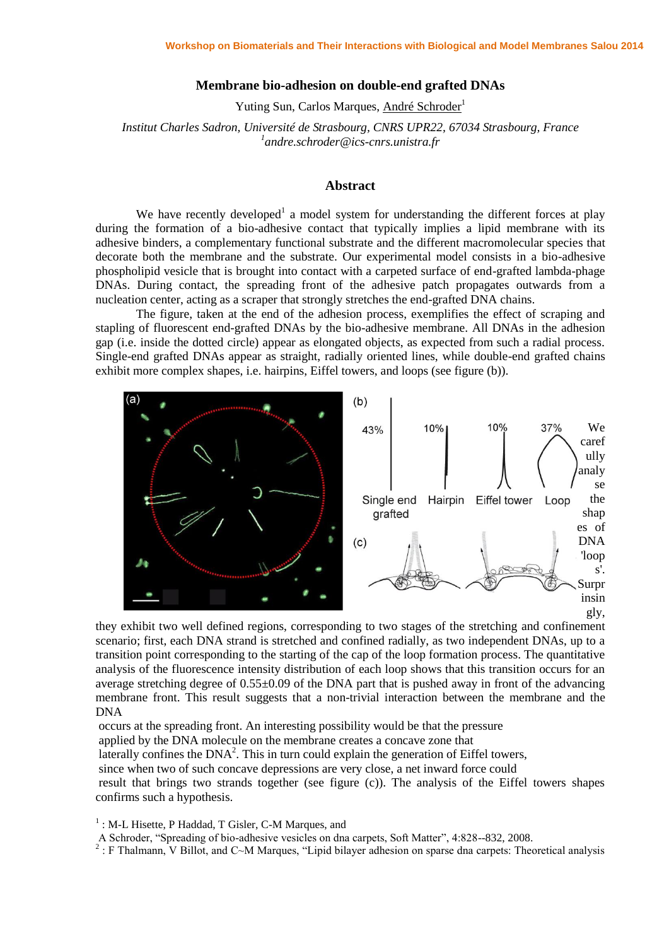## **Membrane bio-adhesion on double-end grafted DNAs**

Yuting Sun, Carlos Marques, André Schroder<sup>1</sup>

*Institut Charles Sadron, Université de Strasbourg, CNRS UPR22, 67034 Strasbourg, France 1 andre.schroder@ics-cnrs.unistra.fr*

## **Abstract**

We have recently developed<sup>1</sup> a model system for understanding the different forces at play during the formation of a bio-adhesive contact that typically implies a lipid membrane with its adhesive binders, a complementary functional substrate and the different macromolecular species that decorate both the membrane and the substrate. Our experimental model consists in a bio-adhesive phospholipid vesicle that is brought into contact with a carpeted surface of end-grafted lambda-phage DNAs. During contact, the spreading front of the adhesive patch propagates outwards from a nucleation center, acting as a scraper that strongly stretches the end-grafted DNA chains.

The figure, taken at the end of the adhesion process, exemplifies the effect of scraping and stapling of fluorescent end-grafted DNAs by the bio-adhesive membrane. All DNAs in the adhesion gap (i.e. inside the dotted circle) appear as elongated objects, as expected from such a radial process. Single-end grafted DNAs appear as straight, radially oriented lines, while double-end grafted chains exhibit more complex shapes, i.e. hairpins, Eiffel towers, and loops (see figure (b)).



they exhibit two well defined regions, corresponding to two stages of the stretching and confinement scenario; first, each DNA strand is stretched and confined radially, as two independent DNAs, up to a transition point corresponding to the starting of the cap of the loop formation process. The quantitative analysis of the fluorescence intensity distribution of each loop shows that this transition occurs for an average stretching degree of  $0.55\pm0.09$  of the DNA part that is pushed away in front of the advancing membrane front. This result suggests that a non-trivial interaction between the membrane and the DNA

occurs at the spreading front. An interesting possibility would be that the pressure

applied by the DNA molecule on the membrane creates a concave zone that

laterally confines the  $DNA^2$ . This in turn could explain the generation of Eiffel towers,

since when two of such concave depressions are very close, a net inward force could

result that brings two strands together (see figure (c)). The analysis of the Eiffel towers shapes confirms such a hypothesis.

<sup>1</sup>: M-L Hisette, P Haddad, T Gisler, C-M Marques, and

A Schroder, "Spreading of bio-adhesive vesicles on dna carpets, Soft Matter", 4:828--832, 2008.<br><sup>2</sup> : F Thalmann, V Billot, and C~M Marques, "Lipid bilayer adhesion on sparse dna carpets: Theoretical analysis